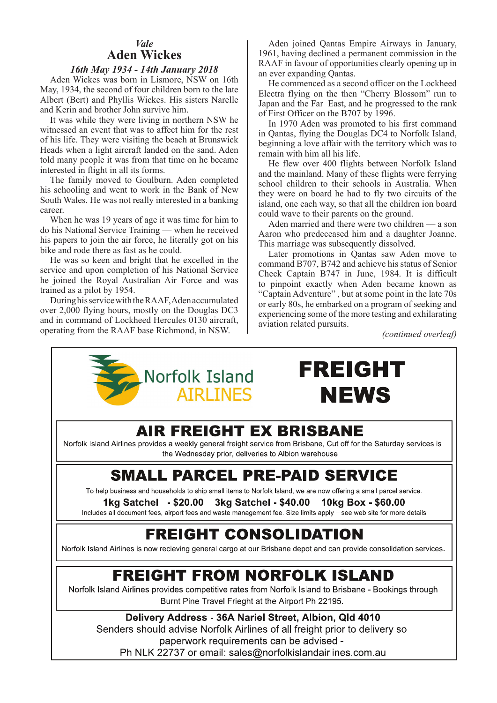#### *Vale* **Aden Wickes**

#### *16th May 1934 - 14th January 2018*

Aden Wickes was born in Lismore, NSW on 16th May, 1934, the second of four children born to the late Albert (Bert) and Phyllis Wickes. His sisters Narelle and Kerin and brother John survive him.

It was while they were living in northern NSW he witnessed an event that was to affect him for the rest of his life. They were visiting the beach at Brunswick Heads when a light aircraft landed on the sand. Aden told many people it was from that time on he became interested in flight in all its forms.

The family moved to Goulburn. Aden completed his schooling and went to work in the Bank of New South Wales. He was not really interested in a banking career.

When he was 19 years of age it was time for him to do his National Service Training — when he received his papers to join the air force, he literally got on his bike and rode there as fast as he could.

He was so keen and bright that he excelled in the service and upon completion of his National Service he joined the Royal Australian Air Force and was trained as a pilot by 1954.

During his service with the RAAF, Aden accumulated over 2,000 flying hours, mostly on the Douglas DC3 and in command of Lockheed Hercules 0130 aircraft, operating from the RAAF base Richmond, in NSW.

Aden joined Qantas Empire Airways in January, 1961, having declined a permanent commission in the RAAF in favour of opportunities clearly opening up in an ever expanding Qantas.

He commenced as a second officer on the Lockheed Electra flying on the then "Cherry Blossom" run to Japan and the Far East, and he progressed to the rank of First Officer on the B707 by 1996.

In 1970 Aden was promoted to his first command in Qantas, flying the Douglas DC4 to Norfolk Island, beginning a love affair with the territory which was to remain with him all his life.

He flew over 400 flights between Norfolk Island and the mainland. Many of these flights were ferrying school children to their schools in Australia. When they were on board he had to fly two circuits of the island, one each way, so that all the children ion board could wave to their parents on the ground.

Aden married and there were two children — a son Aaron who predeceased him and a daughter Joanne. This marriage was subsequently dissolved.

Later promotions in Qantas saw Aden move to command B707, B742 and achieve his status of Senior Check Captain B747 in June, 1984. It is difficult to pinpoint exactly when Aden became known as "Captain Adventure" , but at some point in the late 70s or early 80s, he embarked on a program of seeking and experiencing some of the more testing and exhilarating aviation related pursuits.

*(continued overleaf)*



# **FREIGHT NEWS**

### **AIR FREIGHT EX BRISBANE**

Norfolk Island Airlines provides a weekly general freight service from Brisbane, Cut off for the Saturday services is the Wednesday prior, deliveries to Albion warehouse

### **SMALL PARCEL PRE-PAID SERVICE**

To help business and households to ship small items to Norfolk Island, we are now offering a small parcel service.

1kg Satchel - \$20.00 3kg Satchel - \$40.00 10kg Box - \$60.00

Includes all document fees, airport fees and waste management fee. Size limits apply – see web site for more details

## **FREIGHT CONSOLIDATION**

Norfolk Island Airlines is now recieving general cargo at our Brisbane depot and can provide consolidation services.

# **FREIGHT FROM NORFOLK ISLAND**

Norfolk Island Airlines provides competitive rates from Norfolk Island to Brisbane - Bookings through Burnt Pine Travel Frieght at the Airport Ph 22195.

Delivery Address - 36A Nariel Street, Albion, Qld 4010 Senders should advise Norfolk Airlines of all freight prior to delivery so paperwork requirements can be advised -Ph NLK 22737 or email: sales@norfolkislandairlines.com.au